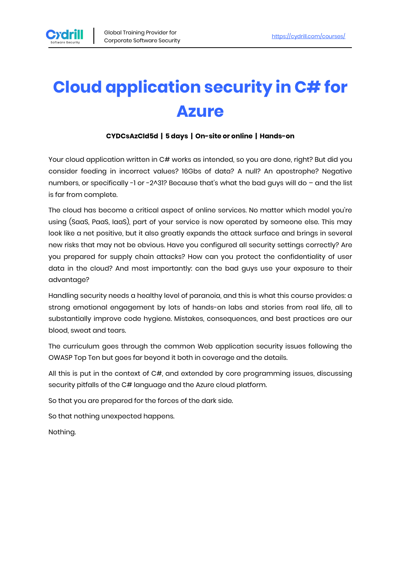

# **Cloud application security in C# for Azure**

#### **CYDCsAzCld5d | 5 days | On-site or online | Hands-on**

Your cloud application written in C# works as intended, so you are done, right? But did you consider feeding in incorrect values? 16Gbs of data? A null? An apostrophe? Negative numbers, or specifically -1 or -2^31? Because that's what the bad guys will do - and the list is far from complete.

The cloud has become a critical aspect of online services. No matter which model you're using (SaaS, PaaS, IaaS), part of your service is now operated by someone else. This may look like a net positive, but it also greatly expands the attack surface and brings in several new risks that may not be obvious. Have you configured all security settings correctly? Are you prepared for supply chain attacks? How can you protect the confidentiality of user data in the cloud? And most importantly: can the bad guys use your exposure to their advantage?

Handling security needs a healthy level of paranoia, and this is what this course provides: a strong emotional engagement by lots of hands-on labs and stories from real life, all to substantially improve code hygiene. Mistakes, consequences, and best practices are our blood, sweat and tears.

The curriculum goes through the common Web application security issues following the OWASP Top Ten but goes far beyond it both in coverage and the details.

All this is put in the context of C#, and extended by core programming issues, discussing security pitfalls of the C# language and the Azure cloud platform.

So that you are prepared for the forces of the dark side.

So that nothing unexpected happens.

Nothing.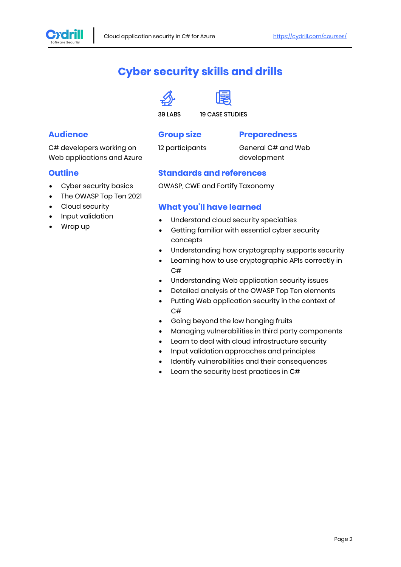

# **Cyber security skills and drills**





39 LABS 19 CASE STUDIES

#### **Audience**

C# developers working on Web applications and Azure

#### **Outline**

- Cyber security basics
- The OWASP Top Ten 2021
- Cloud security
- Input validation
- Wrap up

#### **Group size**

#### **Preparedness**

12 participants

General C# and Web development

#### **Standards and references**

OWASP, CWE and Fortify Taxonomy

#### **What you'll have learned**

- Understand cloud security specialties
- Getting familiar with essential cyber security concepts
- Understanding how cryptography supports security
- Learning how to use cryptographic APIs correctly in C#
- Understanding Web application security issues
- Detailed analysis of the OWASP Top Ten elements
- Putting Web application security in the context of C#
- Going beyond the low hanging fruits
- Managing vulnerabilities in third party components
- Learn to deal with cloud infrastructure security
- Input validation approaches and principles
- Identify vulnerabilities and their consequences
- Learn the security best practices in C#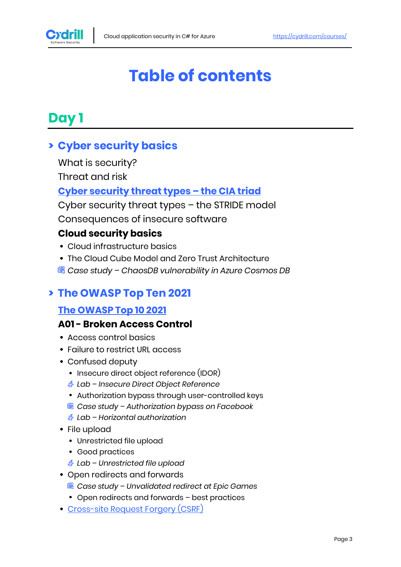

# **Table of contents**

# **Day 1**

# **> Cyber security basics**

What is security?

Threat and risk

### **[Cyber security threat types](https://cydrill.com/cyber-security/cyber-security-from-a-galactic-viewpoint) – the CIA triad**

Cyber security threat types – the STRIDE model Consequences of insecure software

#### **Cloud security basics**

- Cloud infrastructure basics
- The Cloud Cube Model and Zero Trust Architecture
- *Case study – ChaosDB vulnerability in Azure Cosmos DB*

### **> The OWASP Top Ten 2021**

#### **[The OWASP Top 10 2021](https://owasp.org/www-project-top-ten)**

#### **A01 - Broken Access Control**

- Access control basics
- Failure to restrict URL access
- Confused deputy
	- Insecure direct object reference (IDOR)
	- *Lab – Insecure Direct Object Reference*
	- Authorization bypass through user-controlled keys
	- *Case study – Authorization bypass on Facebook*
	- *Lab – Horizontal authorization*
- File upload
	- Unrestricted file upload
	- Good practices
	- *Lab – Unrestricted file upload*
- Open redirects and forwards
	- *Case study – Unvalidated redirect at Epic Games*
	- Open redirects and forwards best practices
- [Cross-site Request Forgery \(CSRF\)](https://cydrill.com/owasp/cross-site-request-forgery-csrf-past-and-future)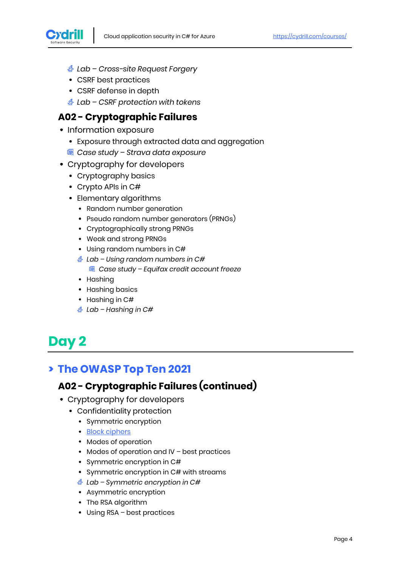

- *Lab – Cross-site Request Forgery*
- CSRF best practices
- CSRF defense in depth
- *Lab – CSRF protection with tokens*

#### **A02 - Cryptographic Failures**

- Information exposure
	- Exposure through extracted data and aggregation
	- *Case study – Strava data exposure*
- Cryptography for developers
	- Cryptography basics
	- Crypto APIs in C#
	- Elementary algorithms
		- Random number generation
		- Pseudo random number generators (PRNGs)
		- Cryptographically strong PRNGs
		- Weak and strong PRNGs
		- Using random numbers in C#
		- *Lab – Using random numbers in C# Case study – Equifax credit account freeze*
		- Hashing
		- Hashing basics
		- Hashing in C#
		- *Lab – Hashing in C#*

# **Day 2**

# **> The OWASP Top Ten 2021**

## **A02 - Cryptographic Failures (continued)**

- Cryptography for developers
	- Confidentiality protection
		- Symmetric encryption
		- **[Block ciphers](https://cydrill.com/devops/encryption-with-aes)**
		- Modes of operation
		- Modes of operation and IV best practices
		- Symmetric encryption in C#
		- Symmetric encryption in C# with streams
		- *Lab – Symmetric encryption in C#*
		- Asymmetric encryption
		- The RSA algorithm
		- Using RSA best practices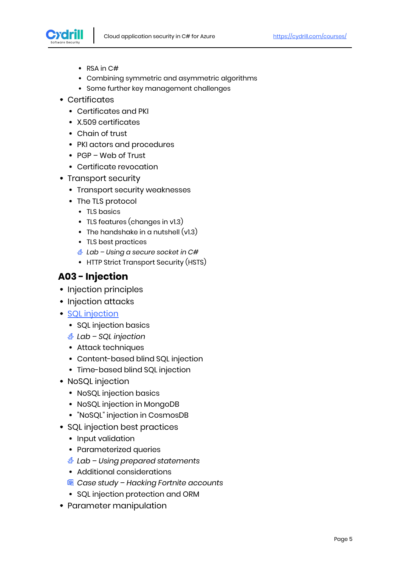

- $\cdot$  RSA in C#
- Combining symmetric and asymmetric algorithms
- Some further key management challenges
- Certificates
	- Certificates and PKI
	- X.509 certificates
	- Chain of trust
	- PKI actors and procedures
	- PGP Web of Trust
	- Certificate revocation
- Transport security
	- Transport security weaknesses
	- The TLS protocol
		- TLS basics
		- TLS features (changes in v1.3)
		- The handshake in a nutshell  $(v1.3)$
		- TLS best practices
		- *Lab – Using a secure socket in C#*
		- HTTP Strict Transport Security (HSTS)

#### **A03 - Injection**

- Injection principles
- Injection attacks
- [SQL injection](https://cydrill.com/owasp/sql-injection-is-it-a-solved-problem)
	- SQL injection basics
	- *Lab – SQL injection*
	- Attack techniques
	- Content-based blind SQL injection
	- Time-based blind SQL injection
- NoSQL injection
	- NoSQL injection basics
	- NoSQL injection in MongoDB
	- "NoSQL" injection in CosmosDB
- SQL injection best practices
	- Input validation
	- Parameterized queries
	- *Lab – Using prepared statements*
	- Additional considerations
	- *Case study – Hacking Fortnite accounts*
	- SQL injection protection and ORM
- Parameter manipulation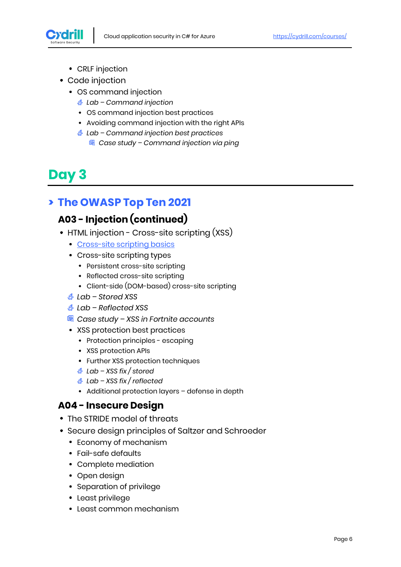

- CRLF injection
- Code injection
	- OS command injection
		- *Lab – Command injection*
		- OS command injection best practices
		- Avoiding command injection with the right APIs
		- *Lab – Command injection best practices*
			- *Case study – Command injection via ping*

# **Day 3**

# **> The OWASP Top Ten 2021**

# **A03 - Injection (continued)**

- HTML injection Cross-site scripting (XSS)
	- [Cross-site scripting basics](https://cydrill.com/owasp/cross-site-scripting-an-old-new-threat)
	- Cross-site scripting types
		- Persistent cross-site scripting
		- Reflected cross-site scripting
		- Client-side (DOM-based) cross-site scripting
	- *Lab – Stored XSS*
	- *Lab – Reflected XSS*
	- *Case study – XSS in Fortnite accounts*
	- XSS protection best practices
		- Protection principles escaping
		- XSS protection APIs
		- Further XSS protection techniques
		- *Lab – XSS fix / stored*
		- *Lab – XSS fix / reflected*
		- Additional protection layers defense in depth

#### **A04 - Insecure Design**

- The STRIDE model of threats
- Secure design principles of Saltzer and Schroeder
	- Economy of mechanism
	- Fail-safe defaults
	- Complete mediation
	- Open design
	- Separation of privilege
	- Least privilege
	- Least common mechanism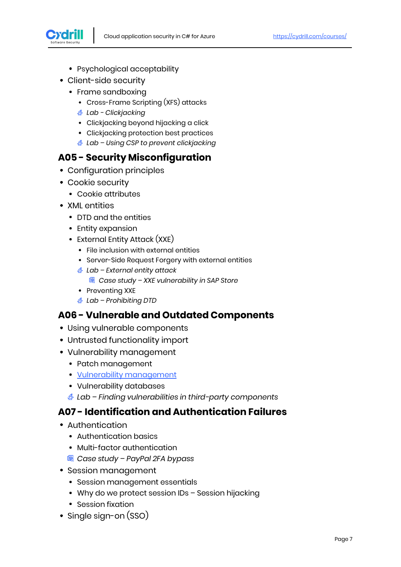

- Psychological acceptability
- Client-side security
	- Frame sandboxing
		- Cross-Frame Scripting (XFS) attacks
		- *Lab - Clickjacking*
		- Clickjacking beyond hijacking a click
		- Clickjacking protection best practices
		- *Lab – Using CSP to prevent clickjacking*

#### **A05 - Security Misconfiguration**

- Configuration principles
- Cookie security
	- Cookie attributes
- XMI entities
	- DTD and the entities
	- Entity expansion
	- External Entity Attack (XXE)
		- File inclusion with external entities
		- Server-Side Request Forgery with external entities
		- *Lab – External entity attack Case study – XXE vulnerability in SAP Store*
		- Preventing XXE
		- *Lab – Prohibiting DTD*

### **A06 - Vulnerable and Outdated Components**

- Using vulnerable components
- Untrusted functionality import
- Vulnerability management
	- Patch management
	- [Vulnerability management](https://cydrill.com/devops/cvss-measuring-the-unmeasurable)
	- Vulnerability databases
	- *Lab – Finding vulnerabilities in third-party components*

#### **A07 - Identification and Authentication Failures**

- Authentication
	- Authentication basics
	- Multi-factor authentication
	- *Case study – PayPal 2FA bypass*
- Session management
	- Session management essentials
	- Why do we protect session IDs Session hijacking
	- Session fixation
- Single sign-on (SSO)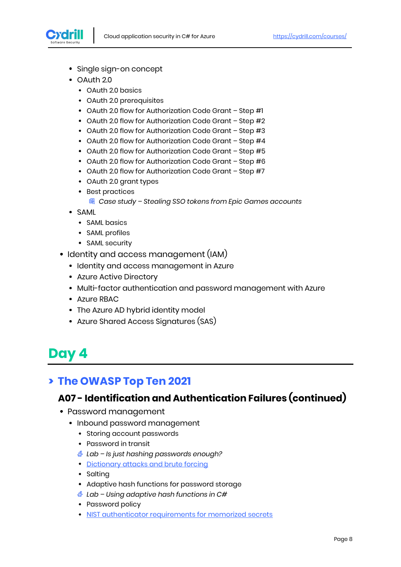

- Single sign-on concept
- OAuth 2.0
	- OAuth 2.0 basics
	- OAuth 2.0 prerequisites
	- OAuth 2.0 flow for Authorization Code Grant Step #1
	- OAuth 2.0 flow for Authorization Code Grant Step #2
	- OAuth 2.0 flow for Authorization Code Grant Step #3
	- OAuth 2.0 flow for Authorization Code Grant Step #4
	- OAuth 2.0 flow for Authorization Code Grant Step #5
	- OAuth 2.0 flow for Authorization Code Grant Step #6
	- OAuth 2.0 flow for Authorization Code Grant Step #7
	- OAuth 2.0 grant types
	- Best practices
		- *Case study – Stealing SSO tokens from Epic Games accounts*
- SAML
	- SAML basics
	- SAML profiles
	- SAML security
- Identity and access management (IAM)
	- Identity and access management in Azure
	- Azure Active Directory
	- Multi-factor authentication and password management with Azure
	- Azure RBAC
	- The Azure AD hybrid identity model
	- Azure Shared Access Signatures (SAS)

# **Day 4**

# **> The OWASP Top Ten 2021**

### **A07 - Identification and Authentication Failures (continued)**

- Password management
	- Inbound password management
		- Storing account passwords
		- Password in transit
		- *Lab – Is just hashing passwords enough?*
		- [Dictionary attacks and brute forcing](https://cydrill.com/owasp/brute-force-when-everything-is-a-nail)
		- Salting
		- Adaptive hash functions for password storage
		- *Lab – Using adaptive hash functions in C#*
		- Password policy
		- [NIST authenticator requirements for memorized secrets](https://cydrill.com/devops/nist-password-standards)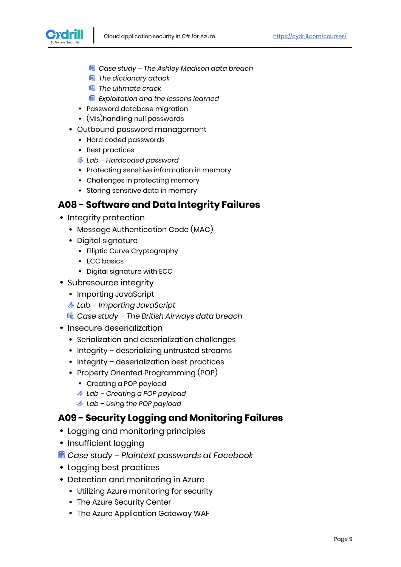

- *Case study – The Ashley Madison data breach*
- *The dictionary attack*
- *The ultimate crack*
- *Exploitation and the lessons learned*
- Password database migration
- (Mis)handling null passwords
- Outbound password management
	- Hard coded passwords
	- Best practices
	- *Lab – Hardcoded password*
	- Protecting sensitive information in memory
	- Challenges in protecting memory
	- Storing sensitive data in memory

#### **A08 - Software and Data Integrity Failures**

- Integrity protection
	- Message Authentication Code (MAC)
	- Digital signature
		- Elliptic Curve Cryptography
		- ECC basics
		- Digital signature with ECC
- Subresource integrity
	- Importing JavaScript
	- *Lab – Importing JavaScript*
	- *Case study – The British Airways data breach*
- Insecure deserialization
	- Serialization and deserialization challenges
	- Integrity deserializing untrusted streams
	- Integrity deserialization best practices
	- Property Oriented Programming (POP)
		- Creating a POP payload
		- *Lab – Creating a POP payload*
		- *Lab – Using the POP payload*

#### **A09 - Security Logging and Monitoring Failures**

- Logging and monitoring principles
- Insufficient logging
- *Case study – Plaintext passwords at Facebook*
- Logging best practices
- Detection and monitoring in Azure
	- Utilizing Azure monitoring for security
	- The Azure Security Center
	- The Azure Application Gateway WAF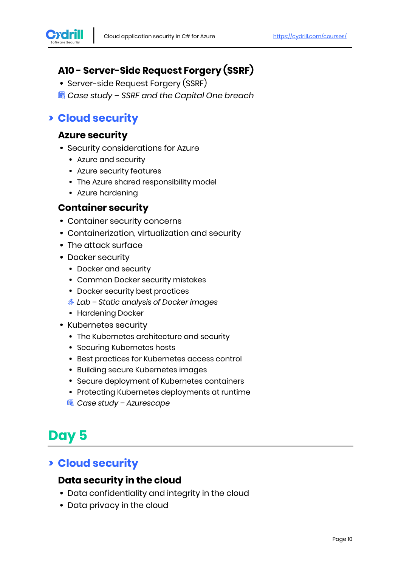

# **A10 - Server-Side Request Forgery (SSRF)**

- Server-side Request Forgery (SSRF)
- *Case study – SSRF and the Capital One breach*

# **> Cloud security**

#### **Azure security**

- Security considerations for Azure
	- Azure and security
	- Azure security features
	- The Azure shared responsibility model
	- Azure hardening

#### **Container security**

- Container security concerns
- Containerization, virtualization and security
- The attack surface
- Docker security
	- Docker and security
	- Common Docker security mistakes
	- Docker security best practices
	- *Lab – Static analysis of Docker images*
	- Hardening Docker
- Kubernetes security
	- The Kubernetes architecture and security
	- Securing Kubernetes hosts
	- Best practices for Kubernetes access control
	- Building secure Kubernetes images
	- Secure deployment of Kubernetes containers
	- Protecting Kubernetes deployments at runtime
	- *Case study – Azurescape*

# **Day 5**

# **> Cloud security**

### **Data security in the cloud**

- Data confidentiality and integrity in the cloud
- Data privacy in the cloud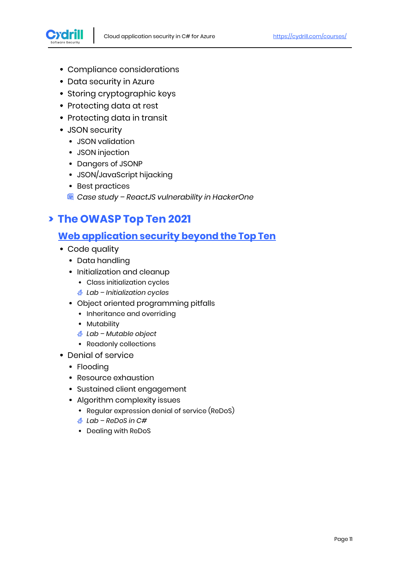

- Compliance considerations
- Data security in Azure
- Storing cryptographic keys
- Protecting data at rest
- Protecting data in transit
- JSON security
	- JSON validation
	- JSON injection
	- Dangers of JSONP
	- JSON/JavaScript hijacking
	- Best practices
	- *Case study – ReactJS vulnerability in HackerOne*

### **> The OWASP Top Ten 2021**

### **[Web application security beyond the Top Ten](https://cydrill.com/cyber-security/web-security-a-moving-target/)**

- Code quality
	- Data handling
	- Initialization and cleanup
		- Class initialization cycles
		- *Lab – Initialization cycles*
	- Object oriented programming pitfalls
		- Inheritance and overriding
		- Mutability
		- *Lab – Mutable object*
		- Readonly collections
- Denial of service
	- Flooding
	- Resource exhaustion
	- Sustained client engagement
	- Algorithm complexity issues
		- Regular expression denial of service (ReDoS)
		- *Lab – ReDoS in C#*
		- Dealing with ReDoS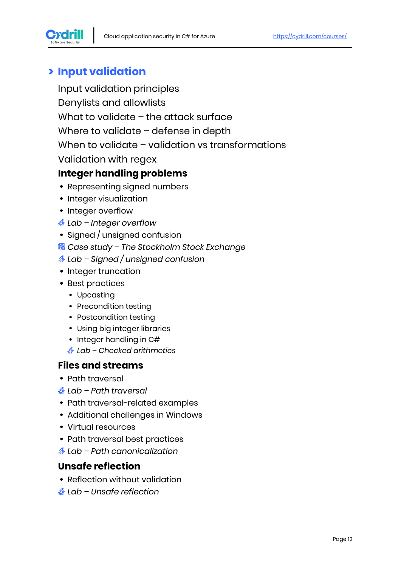

# **> Input validation**

Input validation principles Denylists and allowlists What to validate – the attack surface Where to validate – defense in depth When to validate – validation vs transformations Validation with regex

## **Integer handling problems**

- Representing signed numbers
- Integer visualization
- Integer overflow
- *Lab – Integer overflow*
- Signed / unsigned confusion
- *Case study – The Stockholm Stock Exchange*
- *Lab – Signed / unsigned confusion*
- Integer truncation
- Best practices
	- Upcasting
	- Precondition testing
	- Postcondition testing
	- Using big integer libraries
	- Integer handling in C#
	- *Lab – Checked arithmetics*

#### **Files and streams**

- Path traversal
- *Lab – Path traversal*
- Path traversal-related examples
- Additional challenges in Windows
- Virtual resources
- Path traversal best practices
- *Lab – Path canonicalization*

# **Unsafe reflection**

- Reflection without validation
- *Lab – Unsafe reflection*